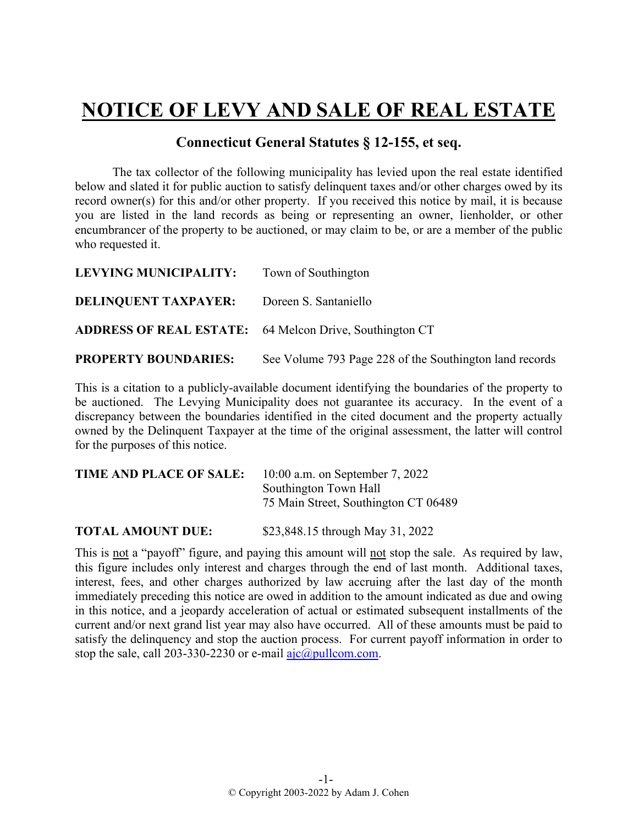## **NOTICE OF LEVY AND SALE OF REAL ESTATE**

## **Connecticut General Statutes § 12-155, et seq.**

The tax collector of the following municipality has levied upon the real estate identified below and slated it for public auction to satisfy delinquent taxes and/or other charges owed by its record owner(s) for this and/or other property. If you received this notice by mail, it is because you are listed in the land records as being or representing an owner, lienholder, or other encumbrancer of the property to be auctioned, or may claim to be, or are a member of the public who requested it.

| LEVYING MUNICIPALITY:                                          | Town of Southington                                     |
|----------------------------------------------------------------|---------------------------------------------------------|
| <b>DELINQUENT TAXPAYER:</b>                                    | Doreen S. Santaniello                                   |
| <b>ADDRESS OF REAL ESTATE:</b> 64 Melcon Drive, Southington CT |                                                         |
| <b>PROPERTY BOUNDARIES:</b>                                    | See Volume 793 Page 228 of the Southington land records |

This is a citation to a publicly-available document identifying the boundaries of the property to be auctioned. The Levying Municipality does not guarantee its accuracy. In the event of a discrepancy between the boundaries identified in the cited document and the property actually owned by the Delinquent Taxpayer at the time of the original assessment, the latter will control for the purposes of this notice.

| TIME AND PLACE OF SALE: | 10:00 a.m. on September 7, 2022      |
|-------------------------|--------------------------------------|
|                         | Southington Town Hall                |
|                         | 75 Main Street, Southington CT 06489 |
|                         |                                      |

**TOTAL AMOUNT DUE:** \$23,848.15 through May 31, 2022

This is not a "payoff" figure, and paying this amount will not stop the sale. As required by law, this figure includes only interest and charges through the end of last month. Additional taxes, interest, fees, and other charges authorized by law accruing after the last day of the month immediately preceding this notice are owed in addition to the amount indicated as due and owing in this notice, and a jeopardy acceleration of actual or estimated subsequent installments of the current and/or next grand list year may also have occurred. All of these amounts must be paid to satisfy the delinquency and stop the auction process. For current payoff information in order to stop the sale, call 203-330-2230 or e-mail  $a$ jc $@p$ ullcom.com.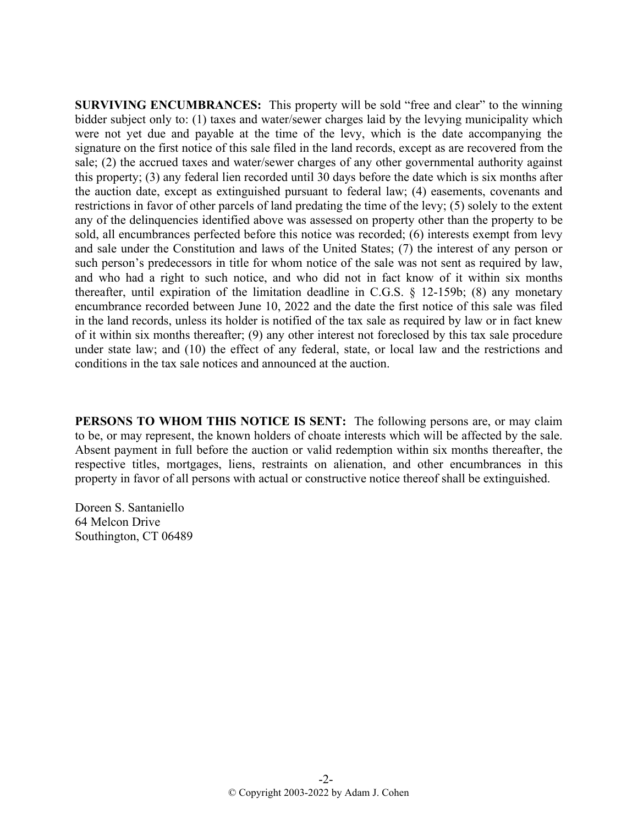**SURVIVING ENCUMBRANCES:** This property will be sold "free and clear" to the winning bidder subject only to: (1) taxes and water/sewer charges laid by the levying municipality which were not yet due and payable at the time of the levy, which is the date accompanying the signature on the first notice of this sale filed in the land records, except as are recovered from the sale; (2) the accrued taxes and water/sewer charges of any other governmental authority against this property; (3) any federal lien recorded until 30 days before the date which is six months after the auction date, except as extinguished pursuant to federal law; (4) easements, covenants and restrictions in favor of other parcels of land predating the time of the levy; (5) solely to the extent any of the delinquencies identified above was assessed on property other than the property to be sold, all encumbrances perfected before this notice was recorded; (6) interests exempt from levy and sale under the Constitution and laws of the United States; (7) the interest of any person or such person's predecessors in title for whom notice of the sale was not sent as required by law, and who had a right to such notice, and who did not in fact know of it within six months thereafter, until expiration of the limitation deadline in C.G.S. § 12-159b; (8) any monetary encumbrance recorded between June 10, 2022 and the date the first notice of this sale was filed in the land records, unless its holder is notified of the tax sale as required by law or in fact knew of it within six months thereafter; (9) any other interest not foreclosed by this tax sale procedure under state law; and (10) the effect of any federal, state, or local law and the restrictions and conditions in the tax sale notices and announced at the auction.

**PERSONS TO WHOM THIS NOTICE IS SENT:** The following persons are, or may claim to be, or may represent, the known holders of choate interests which will be affected by the sale. Absent payment in full before the auction or valid redemption within six months thereafter, the respective titles, mortgages, liens, restraints on alienation, and other encumbrances in this property in favor of all persons with actual or constructive notice thereof shall be extinguished.

Doreen S. Santaniello 64 Melcon Drive Southington, CT 06489